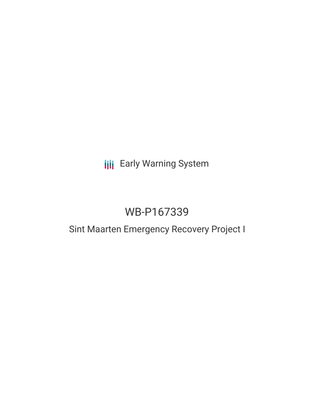## **III** Early Warning System

# WB-P167339

## Sint Maarten Emergency Recovery Project I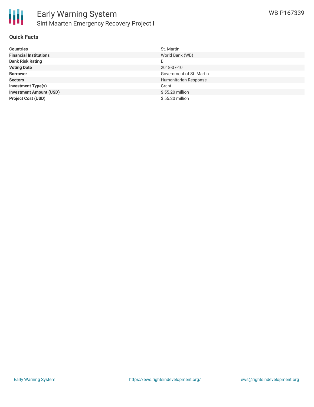#### **Quick Facts**

| <b>Countries</b>               | St. Martin               |
|--------------------------------|--------------------------|
| <b>Financial Institutions</b>  | World Bank (WB)          |
| <b>Bank Risk Rating</b>        | B                        |
| <b>Voting Date</b>             | 2018-07-10               |
| <b>Borrower</b>                | Government of St. Martin |
| <b>Sectors</b>                 | Humanitarian Response    |
| <b>Investment Type(s)</b>      | Grant                    |
| <b>Investment Amount (USD)</b> | \$55.20 million          |
| <b>Project Cost (USD)</b>      | \$55.20 million          |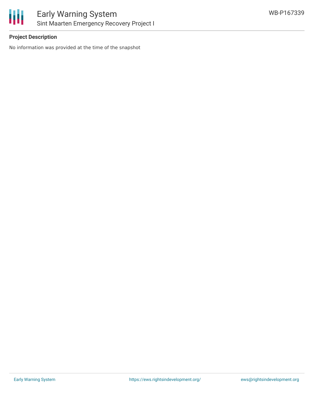

### **Project Description**

No information was provided at the time of the snapshot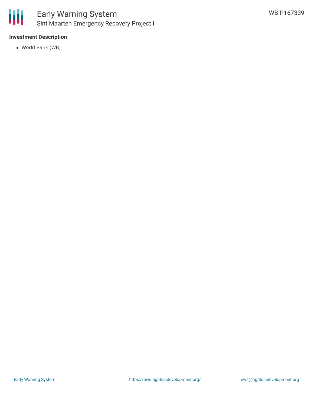

### **Investment Description**

World Bank (WB)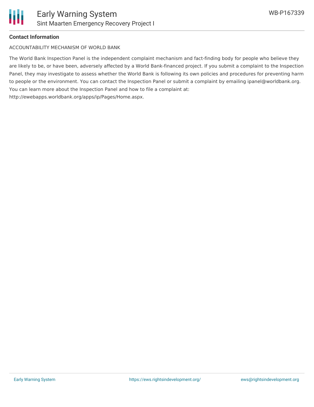## **Contact Information**

ACCOUNTABILITY MECHANISM OF WORLD BANK

The World Bank Inspection Panel is the independent complaint mechanism and fact-finding body for people who believe they are likely to be, or have been, adversely affected by a World Bank-financed project. If you submit a complaint to the Inspection Panel, they may investigate to assess whether the World Bank is following its own policies and procedures for preventing harm to people or the environment. You can contact the Inspection Panel or submit a complaint by emailing ipanel@worldbank.org. You can learn more about the Inspection Panel and how to file a complaint at: http://ewebapps.worldbank.org/apps/ip/Pages/Home.aspx.